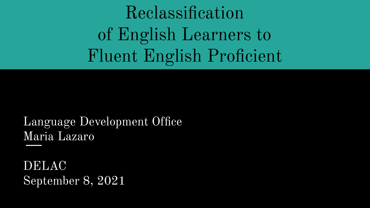Reclassification of English Learners to Fluent English Proficient

Language Development Office Maria Lazaro

DELAC September 8, 2021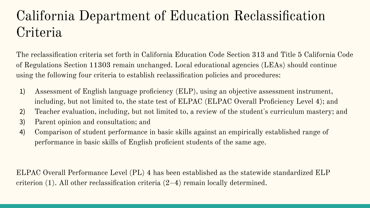## California Department of Education Reclassification Criteria

The reclassification criteria set forth in California Education Code Section 313 and Title 5 California Code of Regulations Section 11303 remain unchanged. Local educational agencies (LEAs) should continue using the following four criteria to establish reclassification policies and procedures:

- 1) Assessment of English language proficiency (ELP), using an objective assessment instrument, including, but not limited to, the state test of ELPAC (ELPAC Overall Proficiency Level 4); and
- 2) Teacher evaluation, including, but not limited to, a review of the student's curriculum mastery; and
- 3) Parent opinion and consultation; and
- 4) Comparison of student performance in basic skills against an empirically established range of performance in basic skills of English proficient students of the same age.

ELPAC Overall Performance Level (PL) 4 has been established as the statewide standardized ELP criterion (1). All other reclassification criteria (2–4) remain locally determined.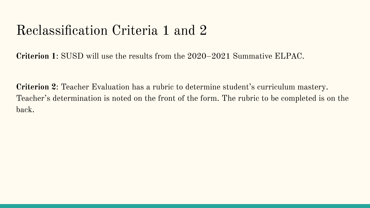## Reclassification Criteria 1 and 2

**Criterion 1**: SUSD will use the results from the 2020–2021 Summative ELPAC.

**Criterion 2**: Teacher Evaluation has a rubric to determine student's curriculum mastery. Teacher's determination is noted on the front of the form. The rubric to be completed is on the back.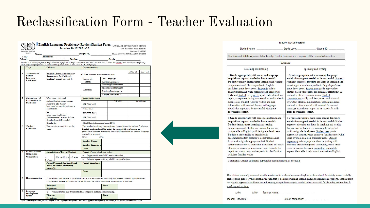#### Reclassification Form - Teacher Evaluation

| adam Unified School Divaria<br>Steer ellist<br>Name: |                                                                                                                                  |                                                                                                                                                                                                                                                  | English Language Proficiency Reclassification Form LANGUAGE DEVELOPMENT OFFICE<br>Grades K-12 2021-22 |                                                |                                                                           | 1503 St. Mark's Plaza, Suite D1<br>Stockton, CA 95207<br>PERMID: Phone: (209) 933-7075 Fax: (209) 478-2890                                     |         |                     |  |  |
|------------------------------------------------------|----------------------------------------------------------------------------------------------------------------------------------|--------------------------------------------------------------------------------------------------------------------------------------------------------------------------------------------------------------------------------------------------|-------------------------------------------------------------------------------------------------------|------------------------------------------------|---------------------------------------------------------------------------|------------------------------------------------------------------------------------------------------------------------------------------------|---------|---------------------|--|--|
|                                                      | SSID:                                                                                                                            | Birthdate:                                                                                                                                                                                                                                       |                                                                                                       |                                                |                                                                           |                                                                                                                                                |         |                     |  |  |
|                                                      | School:                                                                                                                          |                                                                                                                                                                                                                                                  |                                                                                                       |                                                |                                                                           | Teacher: Crade: Crade:                                                                                                                         |         |                     |  |  |
|                                                      |                                                                                                                                  | .<br>In order to be reclassified from an English Learner to proficient in English, the student must meet state altarial district criteria that includes assessment of their proficiency.<br>In the English language as well as an as             |                                                                                                       |                                                |                                                                           |                                                                                                                                                |         |                     |  |  |
|                                                      | Type                                                                                                                             | Criteria                                                                                                                                                                                                                                         |                                                                                                       | <b>Documentation</b>                           |                                                                           |                                                                                                                                                |         |                     |  |  |
| $\mathbf{1}$                                         | Assessment of<br>English<br>Language                                                                                             | English Language Proficiency<br>Assessments for California<br>(ELPAC) overall score of 4.                                                                                                                                                        | <b>ELPAC Overall Performance Level:</b>                                                               |                                                |                                                                           | 2020-21                                                                                                                                        | 2021-22 |                     |  |  |
|                                                      |                                                                                                                                  |                                                                                                                                                                                                                                                  | Oral Language<br>Composite                                                                            |                                                |                                                                           |                                                                                                                                                |         |                     |  |  |
|                                                      | Proficiency                                                                                                                      |                                                                                                                                                                                                                                                  | Scores                                                                                                |                                                | Written Language                                                          |                                                                                                                                                |         |                     |  |  |
|                                                      |                                                                                                                                  |                                                                                                                                                                                                                                                  |                                                                                                       |                                                |                                                                           | Listening Performance                                                                                                                          |         |                     |  |  |
|                                                      |                                                                                                                                  |                                                                                                                                                                                                                                                  |                                                                                                       | <b>Domains</b>                                 |                                                                           | Speaking Performance                                                                                                                           |         |                     |  |  |
|                                                      |                                                                                                                                  |                                                                                                                                                                                                                                                  |                                                                                                       |                                                | Reading Performance                                                       |                                                                                                                                                |         |                     |  |  |
|                                                      |                                                                                                                                  |                                                                                                                                                                                                                                                  |                                                                                                       |                                                |                                                                           | Writing Performance                                                                                                                            |         |                     |  |  |
| 2                                                    | Comparison of<br>Performance in                                                                                                  | Must meet or exceed                                                                                                                                                                                                                              |                                                                                                       | <b>Basic Skills Score</b>                      |                                                                           |                                                                                                                                                |         |                     |  |  |
|                                                      | <b>Basic Skills</b>                                                                                                              | reclassification score on one<br>Measures of i-Ready<br>benchmark given three times a<br>school year.<br>O <sub>T</sub><br>Must meet the SBAC<br>Achievement Level of 3 (Met<br>Standard) or 4 (Exceeded<br>Standards)                           |                                                                                                       |                                                |                                                                           | <b>Little School</b>                                                                                                                           |         | <b>Actual Score</b> |  |  |
|                                                      |                                                                                                                                  |                                                                                                                                                                                                                                                  |                                                                                                       | <b>SPRING 2021</b>                             |                                                                           |                                                                                                                                                |         |                     |  |  |
|                                                      |                                                                                                                                  |                                                                                                                                                                                                                                                  |                                                                                                       | FALL 2021                                      |                                                                           |                                                                                                                                                |         |                     |  |  |
|                                                      |                                                                                                                                  |                                                                                                                                                                                                                                                  |                                                                                                       | <b>WINTER 2021</b>                             |                                                                           |                                                                                                                                                |         |                     |  |  |
|                                                      |                                                                                                                                  |                                                                                                                                                                                                                                                  |                                                                                                       | <b>SPRING 2022</b>                             |                                                                           |                                                                                                                                                |         |                     |  |  |
|                                                      |                                                                                                                                  |                                                                                                                                                                                                                                                  |                                                                                                       | SBAC ELA Achievement Level 20/21               |                                                                           |                                                                                                                                                |         |                     |  |  |
| 3                                                    | <b>Teacher</b>                                                                                                                   | Teacher documentation on the                                                                                                                                                                                                                     |                                                                                                       |                                                | This student routinely demonstrates the readiness for reclassification as |                                                                                                                                                |         |                     |  |  |
|                                                      | <b>Evaluation</b><br>hack                                                                                                        |                                                                                                                                                                                                                                                  |                                                                                                       | acquisition support.<br>$T$ Yes                | DN <sub>o</sub>                                                           | English proficient and the ability to successfully participate in<br>grade-level content instruction that is delivered with no second language |         |                     |  |  |
|                                                      |                                                                                                                                  |                                                                                                                                                                                                                                                  |                                                                                                       | <b>Teacher Name:</b>                           |                                                                           |                                                                                                                                                |         |                     |  |  |
|                                                      |                                                                                                                                  |                                                                                                                                                                                                                                                  |                                                                                                       | <b>Teacher Signature:</b>                      |                                                                           |                                                                                                                                                |         |                     |  |  |
|                                                      |                                                                                                                                  |                                                                                                                                                                                                                                                  |                                                                                                       | Date:                                          |                                                                           |                                                                                                                                                |         |                     |  |  |
| $\overline{4}$                                       | <b>Parent Guardian</b>                                                                                                           | <b>Description of Parent Contact</b>                                                                                                                                                                                                             |                                                                                                       | Parent (Please check one below)                |                                                                           |                                                                                                                                                |         |                     |  |  |
|                                                      | Opinion and<br><b>Consultation</b>                                                                                               |                                                                                                                                                                                                                                                  |                                                                                                       | I agree with my child's reclassification.<br>۰ |                                                                           |                                                                                                                                                |         |                     |  |  |
|                                                      |                                                                                                                                  | oPhone/Virtual o Letter<br>In-Person<br><b>Parent Comments (optional) and</b><br><b>Name of Person contacting</b><br>parent(s):                                                                                                                  |                                                                                                       | $\blacksquare$                                 |                                                                           | I do not agree with my child's reclassification.                                                                                               |         |                     |  |  |
|                                                      |                                                                                                                                  |                                                                                                                                                                                                                                                  |                                                                                                       | <b>Parent Signature:</b>                       |                                                                           |                                                                                                                                                |         |                     |  |  |
|                                                      |                                                                                                                                  |                                                                                                                                                                                                                                                  |                                                                                                       | Date:                                          |                                                                           |                                                                                                                                                |         |                     |  |  |
| π                                                    | Recommendation                                                                                                                   | C Student has met all criteria for reclassification. Reclassify student from English Learner to Fluent English Proficient.<br>$\square$ Student has not met all criteria for reclassification. Reclassification is not recommended at this time. |                                                                                                       |                                                |                                                                           |                                                                                                                                                |         |                     |  |  |
|                                                      |                                                                                                                                  | Principal                                                                                                                                                                                                                                        |                                                                                                       |                                                |                                                                           | Date:                                                                                                                                          |         |                     |  |  |
|                                                      |                                                                                                                                  | Signature:                                                                                                                                                                                                                                       |                                                                                                       |                                                |                                                                           |                                                                                                                                                |         |                     |  |  |
| 6                                                    | Language<br>Verification that this document is fully completed and ready for processing.<br>$\blacksquare$<br><b>Development</b> |                                                                                                                                                                                                                                                  |                                                                                                       |                                                |                                                                           |                                                                                                                                                |         |                     |  |  |
|                                                      | Office                                                                                                                           | <b>Director</b>                                                                                                                                                                                                                                  |                                                                                                       |                                                |                                                                           | Date:                                                                                                                                          |         |                     |  |  |
|                                                      |                                                                                                                                  | Signature:                                                                                                                                                                                                                                       |                                                                                                       |                                                |                                                                           |                                                                                                                                                |         |                     |  |  |

#### **Teacher Documentation**

| Student Name:                                                                                                                                                                                                                                                                                                                                                                                                                                                                                                                                                                                                   | Student ID:<br>Grade Level:                                                                                                                                                                                                                                                                                                                                                                                                                                                                                                                                                                                                    |
|-----------------------------------------------------------------------------------------------------------------------------------------------------------------------------------------------------------------------------------------------------------------------------------------------------------------------------------------------------------------------------------------------------------------------------------------------------------------------------------------------------------------------------------------------------------------------------------------------------------------|--------------------------------------------------------------------------------------------------------------------------------------------------------------------------------------------------------------------------------------------------------------------------------------------------------------------------------------------------------------------------------------------------------------------------------------------------------------------------------------------------------------------------------------------------------------------------------------------------------------------------------|
| This document fulfills requirements for the subjective teacher evaluation component of the reclassification criteria.                                                                                                                                                                                                                                                                                                                                                                                                                                                                                           |                                                                                                                                                                                                                                                                                                                                                                                                                                                                                                                                                                                                                                |
|                                                                                                                                                                                                                                                                                                                                                                                                                                                                                                                                                                                                                 | Domains                                                                                                                                                                                                                                                                                                                                                                                                                                                                                                                                                                                                                        |
| Listening and Reading                                                                                                                                                                                                                                                                                                                                                                                                                                                                                                                                                                                           | Speaking and Writing                                                                                                                                                                                                                                                                                                                                                                                                                                                                                                                                                                                                           |
| Grade appropriate with no second language<br>acquisition support needed to be successful:<br>Student routinely demonstrates listening and reading<br>comprehension skills comparable to English<br>proficient grade-level peers. Student is able to<br>construct meaning when reading grade appropriate<br>texts, and student rarely needs speakers to slow down,<br>repeat, or rephrase during conversations and academic<br>discussions. Student receives written and oral<br>information with no need for second language<br>acquisition support to be successful with grade<br>appropriate content.         | Grade appropriate with no second language<br>acquisition support needed to be successful: Student<br>routinely expresses thoughts and ideas in speaking and<br>in writing at a level comparable to English proficient<br>grade-level peers. Student uses grade-appropriate<br>content-based vocabulary and grammar effectively in<br>oral and written communications. Student<br>communicates orally with few pauses and minimal<br>errors that block communication. Student produces<br>oral and written material with no need for second<br>language acquisition support to be successful with<br>grade appropriate content. |
| Grade appropriate with some second language<br>acquisition support needed to be successful:<br>Student demonstrates listening and reading<br>comprehension skills that are nearing but not yet<br>comparable to English proficient grade-level peers.<br>Student at times relies on linguistically<br>accommodated text features to construct meaning<br>from abstract grade appropriate text. Student<br>comprehends conversations and discussions but relies<br>at times on pauses for processing time, requests for<br>repetition, visual cues, and requests for clarification<br>with less familiar topics. | Grade appropriate with some second language<br>acquisition support needed to be successful: Student<br>expresses thoughts and ideas in speaking and writing<br>that are nearing but not yet comparable to English<br>proficient grade-level peers. Student uses grade<br>appropriate content-based terms on familiar topics with<br>some errors in complex grammar usage. Student<br>expresses grade appropriate ideas in writing with<br>emerging grade appropriate vocabulary, but at times<br>relies on second language acquisition supports to<br>express ideas effectively in oral and written English.                   |
| Comments: (Attach additional supporting documentation, as needed.)                                                                                                                                                                                                                                                                                                                                                                                                                                                                                                                                              |                                                                                                                                                                                                                                                                                                                                                                                                                                                                                                                                                                                                                                |
|                                                                                                                                                                                                                                                                                                                                                                                                                                                                                                                                                                                                                 |                                                                                                                                                                                                                                                                                                                                                                                                                                                                                                                                                                                                                                |

This student routinely demonstrates the readiness for reclassification as English proficient and the ability to successfully participate in grade-level content instruction that is delivered with no second language acquisitions supports. Student must meet grade appropriate with no second language acquisition support needed to be successful for listening and reading & speaking and writing.

| $\n  Yes\n$ | $\square$ No | <b>Teacher Name:</b> |  |
|-------------|--------------|----------------------|--|
|             |              |                      |  |

Teacher Signature:

Date of completion:

Upon completing this form, send the original to the Language Development Office. Once approved and signed by the director, it will be sent back to the school site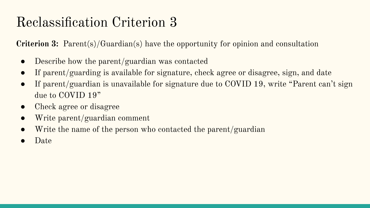## Reclassification Criterion 3

**Criterion 3:** Parent(s)/Guardian(s) have the opportunity for opinion and consultation

- Describe how the parent/guardian was contacted
- If parent/guarding is available for signature, check agree or disagree, sign, and date
- If parent/guardian is unavailable for signature due to COVID 19, write "Parent can't sign due to COVID 19"
- Check agree or disagree
- Write parent/guardian comment
- Write the name of the person who contacted the parent/guardian
- Date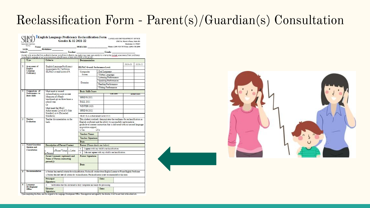### Reclassification Form - Parent(s)/Guardian(s) Consultation

| law Unifed School Divano<br>Store (Syr)        |                                                                                                                                                                                       |                                                                                                                                                                                                                                          | Grades K-12 2021-22                                                                                                                                                                                                   |  |                                                                                                                                                                                                                                                                                                                                        | 1503 St. Mark's Plaza, Suite D1                                            |                                                                                                                                                                                                                                                                                                                                                                                                                                                                                                                                                                                                                                                                                                                                                                                                                                                                   |
|------------------------------------------------|---------------------------------------------------------------------------------------------------------------------------------------------------------------------------------------|------------------------------------------------------------------------------------------------------------------------------------------------------------------------------------------------------------------------------------------|-----------------------------------------------------------------------------------------------------------------------------------------------------------------------------------------------------------------------|--|----------------------------------------------------------------------------------------------------------------------------------------------------------------------------------------------------------------------------------------------------------------------------------------------------------------------------------------|----------------------------------------------------------------------------|-------------------------------------------------------------------------------------------------------------------------------------------------------------------------------------------------------------------------------------------------------------------------------------------------------------------------------------------------------------------------------------------------------------------------------------------------------------------------------------------------------------------------------------------------------------------------------------------------------------------------------------------------------------------------------------------------------------------------------------------------------------------------------------------------------------------------------------------------------------------|
|                                                |                                                                                                                                                                                       |                                                                                                                                                                                                                                          |                                                                                                                                                                                                                       |  |                                                                                                                                                                                                                                                                                                                                        |                                                                            |                                                                                                                                                                                                                                                                                                                                                                                                                                                                                                                                                                                                                                                                                                                                                                                                                                                                   |
|                                                |                                                                                                                                                                                       |                                                                                                                                                                                                                                          |                                                                                                                                                                                                                       |  |                                                                                                                                                                                                                                                                                                                                        |                                                                            |                                                                                                                                                                                                                                                                                                                                                                                                                                                                                                                                                                                                                                                                                                                                                                                                                                                                   |
|                                                |                                                                                                                                                                                       |                                                                                                                                                                                                                                          |                                                                                                                                                                                                                       |  |                                                                                                                                                                                                                                                                                                                                        |                                                                            |                                                                                                                                                                                                                                                                                                                                                                                                                                                                                                                                                                                                                                                                                                                                                                                                                                                                   |
|                                                |                                                                                                                                                                                       |                                                                                                                                                                                                                                          |                                                                                                                                                                                                                       |  |                                                                                                                                                                                                                                                                                                                                        |                                                                            |                                                                                                                                                                                                                                                                                                                                                                                                                                                                                                                                                                                                                                                                                                                                                                                                                                                                   |
| Assessment of                                  | English Language Proficiency                                                                                                                                                          | <b>ELPAC Overall Performance Level:</b>                                                                                                                                                                                                  |                                                                                                                                                                                                                       |  | 2020-21                                                                                                                                                                                                                                                                                                                                | 2021-2                                                                     |                                                                                                                                                                                                                                                                                                                                                                                                                                                                                                                                                                                                                                                                                                                                                                                                                                                                   |
| Language                                       |                                                                                                                                                                                       |                                                                                                                                                                                                                                          |                                                                                                                                                                                                                       |  | Oral Language                                                                                                                                                                                                                                                                                                                          |                                                                            |                                                                                                                                                                                                                                                                                                                                                                                                                                                                                                                                                                                                                                                                                                                                                                                                                                                                   |
|                                                |                                                                                                                                                                                       | Scores                                                                                                                                                                                                                                   |                                                                                                                                                                                                                       |  |                                                                                                                                                                                                                                                                                                                                        |                                                                            |                                                                                                                                                                                                                                                                                                                                                                                                                                                                                                                                                                                                                                                                                                                                                                                                                                                                   |
|                                                |                                                                                                                                                                                       |                                                                                                                                                                                                                                          |                                                                                                                                                                                                                       |  |                                                                                                                                                                                                                                                                                                                                        |                                                                            |                                                                                                                                                                                                                                                                                                                                                                                                                                                                                                                                                                                                                                                                                                                                                                                                                                                                   |
|                                                |                                                                                                                                                                                       |                                                                                                                                                                                                                                          |                                                                                                                                                                                                                       |  |                                                                                                                                                                                                                                                                                                                                        |                                                                            |                                                                                                                                                                                                                                                                                                                                                                                                                                                                                                                                                                                                                                                                                                                                                                                                                                                                   |
|                                                |                                                                                                                                                                                       |                                                                                                                                                                                                                                          |                                                                                                                                                                                                                       |  |                                                                                                                                                                                                                                                                                                                                        |                                                                            |                                                                                                                                                                                                                                                                                                                                                                                                                                                                                                                                                                                                                                                                                                                                                                                                                                                                   |
|                                                |                                                                                                                                                                                       |                                                                                                                                                                                                                                          |                                                                                                                                                                                                                       |  |                                                                                                                                                                                                                                                                                                                                        |                                                                            |                                                                                                                                                                                                                                                                                                                                                                                                                                                                                                                                                                                                                                                                                                                                                                                                                                                                   |
| Comparison of                                  |                                                                                                                                                                                       |                                                                                                                                                                                                                                          |                                                                                                                                                                                                                       |  |                                                                                                                                                                                                                                                                                                                                        |                                                                            |                                                                                                                                                                                                                                                                                                                                                                                                                                                                                                                                                                                                                                                                                                                                                                                                                                                                   |
| <b>Basic Skills</b>                            | Measures of i-Ready<br>benchmark given three times a<br>school year.<br>O <sub>r</sub><br>Must meet the SBAC<br>Achievement Level of 3 (Met<br>Standard) or 4 (Exceeded<br>Standards) |                                                                                                                                                                                                                                          |                                                                                                                                                                                                                       |  |                                                                                                                                                                                                                                                                                                                                        |                                                                            | <b>Actual Score</b>                                                                                                                                                                                                                                                                                                                                                                                                                                                                                                                                                                                                                                                                                                                                                                                                                                               |
|                                                |                                                                                                                                                                                       |                                                                                                                                                                                                                                          |                                                                                                                                                                                                                       |  |                                                                                                                                                                                                                                                                                                                                        |                                                                            |                                                                                                                                                                                                                                                                                                                                                                                                                                                                                                                                                                                                                                                                                                                                                                                                                                                                   |
|                                                |                                                                                                                                                                                       |                                                                                                                                                                                                                                          |                                                                                                                                                                                                                       |  |                                                                                                                                                                                                                                                                                                                                        |                                                                            |                                                                                                                                                                                                                                                                                                                                                                                                                                                                                                                                                                                                                                                                                                                                                                                                                                                                   |
|                                                |                                                                                                                                                                                       |                                                                                                                                                                                                                                          |                                                                                                                                                                                                                       |  |                                                                                                                                                                                                                                                                                                                                        |                                                                            |                                                                                                                                                                                                                                                                                                                                                                                                                                                                                                                                                                                                                                                                                                                                                                                                                                                                   |
|                                                |                                                                                                                                                                                       |                                                                                                                                                                                                                                          |                                                                                                                                                                                                                       |  |                                                                                                                                                                                                                                                                                                                                        |                                                                            |                                                                                                                                                                                                                                                                                                                                                                                                                                                                                                                                                                                                                                                                                                                                                                                                                                                                   |
|                                                |                                                                                                                                                                                       |                                                                                                                                                                                                                                          | SBAC ELA Achievement Level 20/21                                                                                                                                                                                      |  |                                                                                                                                                                                                                                                                                                                                        |                                                                            |                                                                                                                                                                                                                                                                                                                                                                                                                                                                                                                                                                                                                                                                                                                                                                                                                                                                   |
| <b>Evaluation</b><br>hack.                     |                                                                                                                                                                                       |                                                                                                                                                                                                                                          | $T$ Yes                                                                                                                                                                                                               |  |                                                                                                                                                                                                                                                                                                                                        |                                                                            |                                                                                                                                                                                                                                                                                                                                                                                                                                                                                                                                                                                                                                                                                                                                                                                                                                                                   |
|                                                |                                                                                                                                                                                       |                                                                                                                                                                                                                                          |                                                                                                                                                                                                                       |  |                                                                                                                                                                                                                                                                                                                                        |                                                                            |                                                                                                                                                                                                                                                                                                                                                                                                                                                                                                                                                                                                                                                                                                                                                                                                                                                                   |
|                                                |                                                                                                                                                                                       |                                                                                                                                                                                                                                          |                                                                                                                                                                                                                       |  |                                                                                                                                                                                                                                                                                                                                        |                                                                            |                                                                                                                                                                                                                                                                                                                                                                                                                                                                                                                                                                                                                                                                                                                                                                                                                                                                   |
|                                                |                                                                                                                                                                                       |                                                                                                                                                                                                                                          | Date:                                                                                                                                                                                                                 |  |                                                                                                                                                                                                                                                                                                                                        |                                                                            |                                                                                                                                                                                                                                                                                                                                                                                                                                                                                                                                                                                                                                                                                                                                                                                                                                                                   |
|                                                | <b>Description of Parent Contact</b>                                                                                                                                                  |                                                                                                                                                                                                                                          |                                                                                                                                                                                                                       |  |                                                                                                                                                                                                                                                                                                                                        |                                                                            |                                                                                                                                                                                                                                                                                                                                                                                                                                                                                                                                                                                                                                                                                                                                                                                                                                                                   |
| Consultation                                   |                                                                                                                                                                                       |                                                                                                                                                                                                                                          | I agree with my child's reclassification.<br>$\Box$                                                                                                                                                                   |  |                                                                                                                                                                                                                                                                                                                                        |                                                                            |                                                                                                                                                                                                                                                                                                                                                                                                                                                                                                                                                                                                                                                                                                                                                                                                                                                                   |
|                                                | In-Person                                                                                                                                                                             |                                                                                                                                                                                                                                          | $\blacksquare$                                                                                                                                                                                                        |  |                                                                                                                                                                                                                                                                                                                                        |                                                                            |                                                                                                                                                                                                                                                                                                                                                                                                                                                                                                                                                                                                                                                                                                                                                                                                                                                                   |
| <b>Name of Person contacting</b><br>parent(s): |                                                                                                                                                                                       |                                                                                                                                                                                                                                          |                                                                                                                                                                                                                       |  |                                                                                                                                                                                                                                                                                                                                        |                                                                            |                                                                                                                                                                                                                                                                                                                                                                                                                                                                                                                                                                                                                                                                                                                                                                                                                                                                   |
|                                                |                                                                                                                                                                                       |                                                                                                                                                                                                                                          | Date:                                                                                                                                                                                                                 |  |                                                                                                                                                                                                                                                                                                                                        |                                                                            |                                                                                                                                                                                                                                                                                                                                                                                                                                                                                                                                                                                                                                                                                                                                                                                                                                                                   |
|                                                |                                                                                                                                                                                       | C Student has met all criteria for reclassification. Reclassify student from English Learner to Fluent English Proficient.<br>D Student has not met all criteria for reclassification. Reclassification is not recommended at this time. |                                                                                                                                                                                                                       |  |                                                                                                                                                                                                                                                                                                                                        |                                                                            |                                                                                                                                                                                                                                                                                                                                                                                                                                                                                                                                                                                                                                                                                                                                                                                                                                                                   |
| Recommendation                                 |                                                                                                                                                                                       |                                                                                                                                                                                                                                          |                                                                                                                                                                                                                       |  |                                                                                                                                                                                                                                                                                                                                        |                                                                            |                                                                                                                                                                                                                                                                                                                                                                                                                                                                                                                                                                                                                                                                                                                                                                                                                                                                   |
|                                                | Principal                                                                                                                                                                             |                                                                                                                                                                                                                                          |                                                                                                                                                                                                                       |  | Date:                                                                                                                                                                                                                                                                                                                                  |                                                                            |                                                                                                                                                                                                                                                                                                                                                                                                                                                                                                                                                                                                                                                                                                                                                                                                                                                                   |
| Language                                       | Signature:<br>Verification that this document is fully completed and ready for processing.<br>n.                                                                                      |                                                                                                                                                                                                                                          |                                                                                                                                                                                                                       |  |                                                                                                                                                                                                                                                                                                                                        |                                                                            |                                                                                                                                                                                                                                                                                                                                                                                                                                                                                                                                                                                                                                                                                                                                                                                                                                                                   |
|                                                | SSID:<br>School:<br>Type<br><b>English</b><br>Proficiency<br>Performance in<br>Teacher<br>Parent/Guardian<br>Opinion and                                                              | Criteria                                                                                                                                                                                                                                 | Assessments for California<br>(ELPAC) overall score of 4.<br>Must meet or exceed<br>reclassification score on one<br>Teacher documentation on the<br>-Phone/Virtual - Letter<br><b>Parent Comments (optional) and</b> |  | in the English language as well as an assessment of performance in basic skills (SCCR 11303 [a] [d]).<br><b>Documentation</b><br>Composite<br>Domains<br><b>Basic Skills Score</b><br><b>SPRING 2021</b><br>FALL 2021<br><b>WINTER 2021</b><br>SPRING 2022<br>acquisition support.<br><b>Teacher Name:</b><br><b>Parent Signature:</b> | <b>DNo</b><br><b>Teacher Signature:</b><br>Parent (Please check one below) | Name: Birthdate: PERMID: PREMID: Phone: (209) 933-7075 Fax: (209) 933-7075 Fax: (209) 933-7075 Fax: (209) 933-7095 Fax: (209) 933-7095 Fax: (209) 933-7095 Fax: (209) 933-7095 Fax: (209) 933-7095 Fax: (209) 933-7095 Fax: (<br><b>Teacher:</b> Crade:<br>In order to be reclassified from an English Learner to proficient in English, the student must meet state and district criteria that includes assessment of their proficiency<br>Written Language<br>Listening Performance<br>Speaking Performance<br>Reading Performance<br>Writing Performance<br><b>LIF Scars</b><br>This student routinely demonstrates the readiness for reclassification as<br>English proficient and the ability to successfully participate in<br>grade-level content instruction that is delivered with no second languas<br>I do not agree with my child's reclassification. |

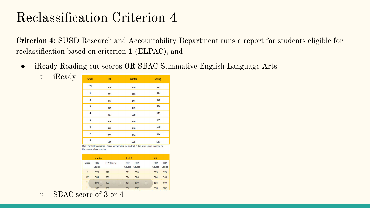## Reclassification Criterion 4

**Criterion 4:** SUSD Research and Accountability Department runs a report for students eligible for reclassification based on criterion 1 (ELPAC), and

● iReady Reading cut scores **OR** SBAC Summative English Language Arts

| Grade                   | Fall | Winter | <b>Spring</b> |
|-------------------------|------|--------|---------------|
| **K                     | 320  | 346    | 381           |
| $\overline{1}$          | 373  | 399    | 413           |
| $\overline{2}$          | 429  | 452    | 456           |
| $\overline{\mathbf{3}}$ | 469  | 485    | 486           |
| $\overline{4}$          | 497  | 508    | 511           |
| 5                       | 516  | 529    | 535           |
| $6\phantom{1}6$         | 535  | 549    | 550           |
| $\overline{7}$          | 555  | 564    | 572           |
| 8                       | 569  | 576    | 589           |
|                         |      |        |               |

Note. The table contains i - Ready average data for grades K-8. Cut scores were rounded to the nearest whole number

|       | $4 \times 4$ A       |                   | 4x4B                 |               | AB                   |               |
|-------|----------------------|-------------------|----------------------|---------------|----------------------|---------------|
| Grade | <b>BOY</b><br>Course | <b>EOY Course</b> | <b>BOY</b><br>Course | EOY<br>Course | <b>BOY</b><br>Course | EOY<br>Course |
| 9     | 575                  | 578               | 575                  | 578           | 575                  | 578           |
| 10    | 584                  | 586               | 584                  | 586           | 584                  | 586           |
| 11    | 598                  | 600               | 598                  | 600           | 598                  | 600           |
| 12    | 598                  | 600               | 598                  | 600           | 598                  | 600*          |

○ SBAC score of 3 or 4

 $\circ$  iReady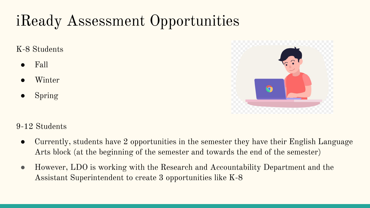# iReady Assessment Opportunities

K-8 Students

- Fall
- Winter
- **Spring**



9-12 Students

- Currently, students have 2 opportunities in the semester they have their English Language Arts block (at the beginning of the semester and towards the end of the semester)
- However, LDO is working with the Research and Accountability Department and the Assistant Superintendent to create 3 opportunities like K-8